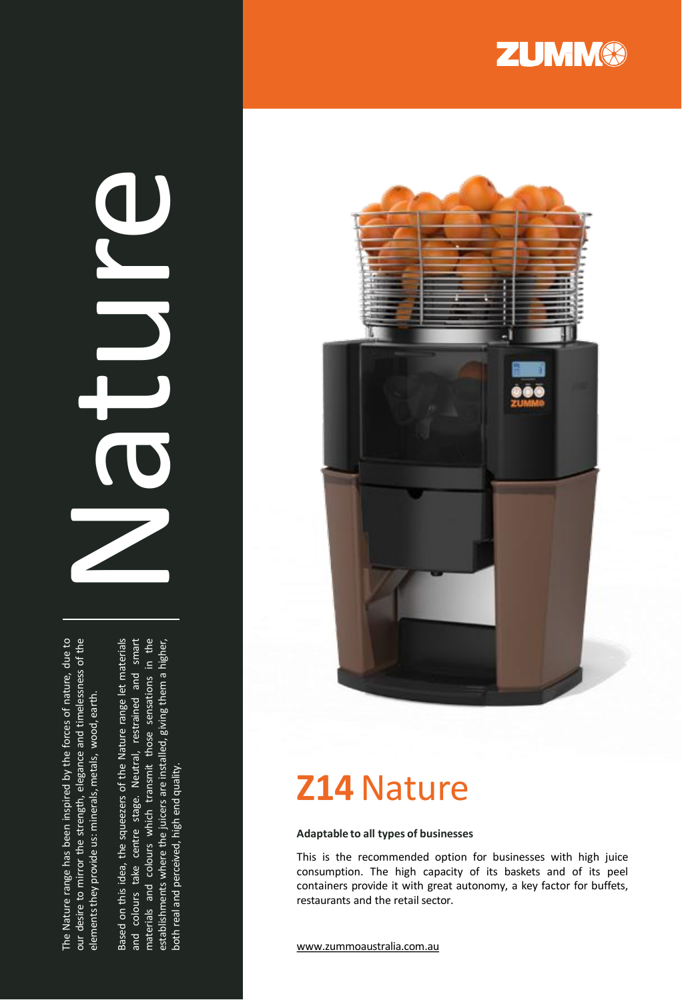

# Nature

The Nature range has been inspired by the forces of nature, due to our desire to mirror the strength, elegance and timelessness of the The Nature range has been inspired by the forces of nature, due to our desire to mirror the strength, elegance and timelessness of the elements they provide us: minerals, metals, wood, earth. elementsthey provide us: minerals, metals, wood, earth.

Based on this idea, the squeezers of the Nature range let materials Based on this idea, the squeezers of the Nature range let materials and colours take centre stage. Neutral, restrained and smart and colours take centre stage. Neutral, restrained and smart materials and colours which transmit those sensations in the materials and colours which transmit those sensations in the establishments where the juicers are installed, giving them a higher, establishments where the juicers are installed, giving them a higher,<br>Letters and an amount of the list of an internal surface both real and perceived, high end quality. both real and perceived, high end quality.



# **Z14**Nature

### **Adaptable to all types of businesses**

This is the recommended option for businesses with high juice consumption . The high capacity of its baskets and of its peel containers provide it with great autonomy, a key factor for buffets, restaurants and the retail sector .

www [.zummoaustralia](http://www.zummocorp.com/) .com .au